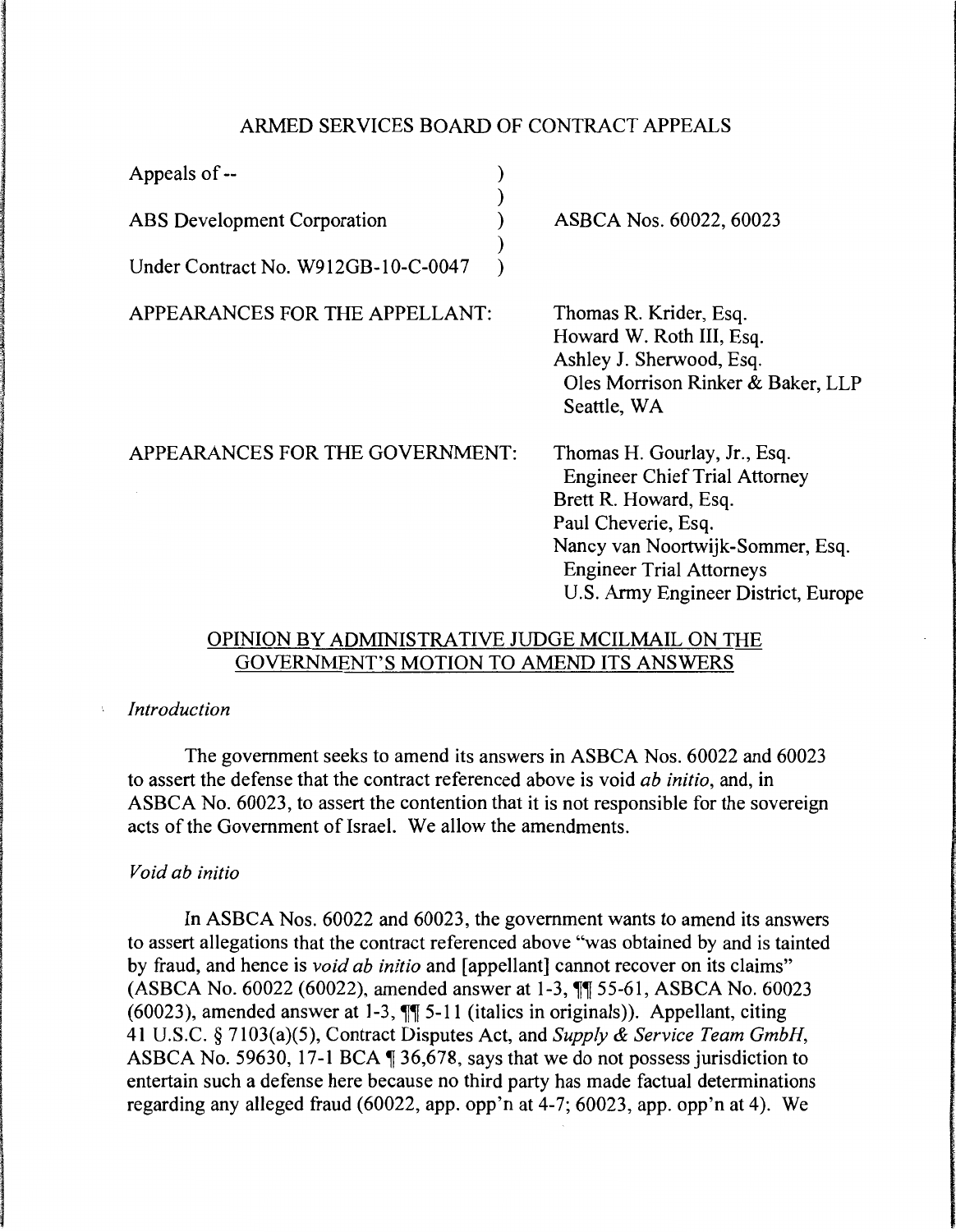## ARMED SERVICES BOARD OF CONTRACT APPEALS

| Appeals of --                       |                                                                                                                                                                                                                                    |
|-------------------------------------|------------------------------------------------------------------------------------------------------------------------------------------------------------------------------------------------------------------------------------|
| ABS Development Corporation         | ASBCA Nos. 60022, 60023                                                                                                                                                                                                            |
| Under Contract No. W912GB-10-C-0047 |                                                                                                                                                                                                                                    |
| APPEARANCES FOR THE APPELLANT:      | Thomas R. Krider, Esq.<br>Howard W. Roth III, Esq.<br>Ashley J. Sherwood, Esq.<br>Oles Morrison Rinker & Baker, LLP<br>Seattle, WA                                                                                                 |
| APPEARANCES FOR THE GOVERNMENT:     | Thomas H. Gourlay, Jr., Esq.<br><b>Engineer Chief Trial Attorney</b><br>Brett R. Howard, Esq.<br>Paul Cheverie, Esq.<br>Nancy van Noortwijk-Sommer, Esq.<br><b>Engineer Trial Attorneys</b><br>U.S. Army Engineer District, Europe |

# OPINION BY ADMINISTRATIVE JUDGE MCILMAIL ON THE GOVERNMENT'S MOTION TO AMEND ITS ANSWERS

#### *Introduction*   $\mathbf{r}$

The government seeks to amend its answers in ASBCA Nos. 60022 and 60023 to assert the defense that the contract referenced above is void *ab initio,* and, in ASBCA No. 60023, to assert the contention that it is not responsible for the sovereign acts of the Government of Israel. We allow the amendments.

### *Void ab initio*

In ASBCA Nos. 60022 and 60023, the government wants to amend its answers to assert allegations that the contract referenced above "was obtained by and is tainted by fraud, and hence is *void ab initio* and [appellant] cannot recover on its claims" (ASBCA No. 60022 (60022), amended answer at 1-3,  $\P$  55-61, ASBCA No. 60023 (60023), amended answer at 1-3,  $\P$  $\overline{\phantom{1}}$  5-11 (italics in originals)). Appellant, citing 41 U.S.C. § 7103(a)(5), Contract Disputes Act, and *Supply & Service Team GmbH,*  ASBCA No. 59630, 17-1 BCA  $\text{\textdegree{I}}$  36,678, says that we do not possess jurisdiction to entertain such a defense here because no third party has made factual determinations regarding any alleged fraud (60022, app. opp'n at 4-7; 60023, app. opp'n at 4). We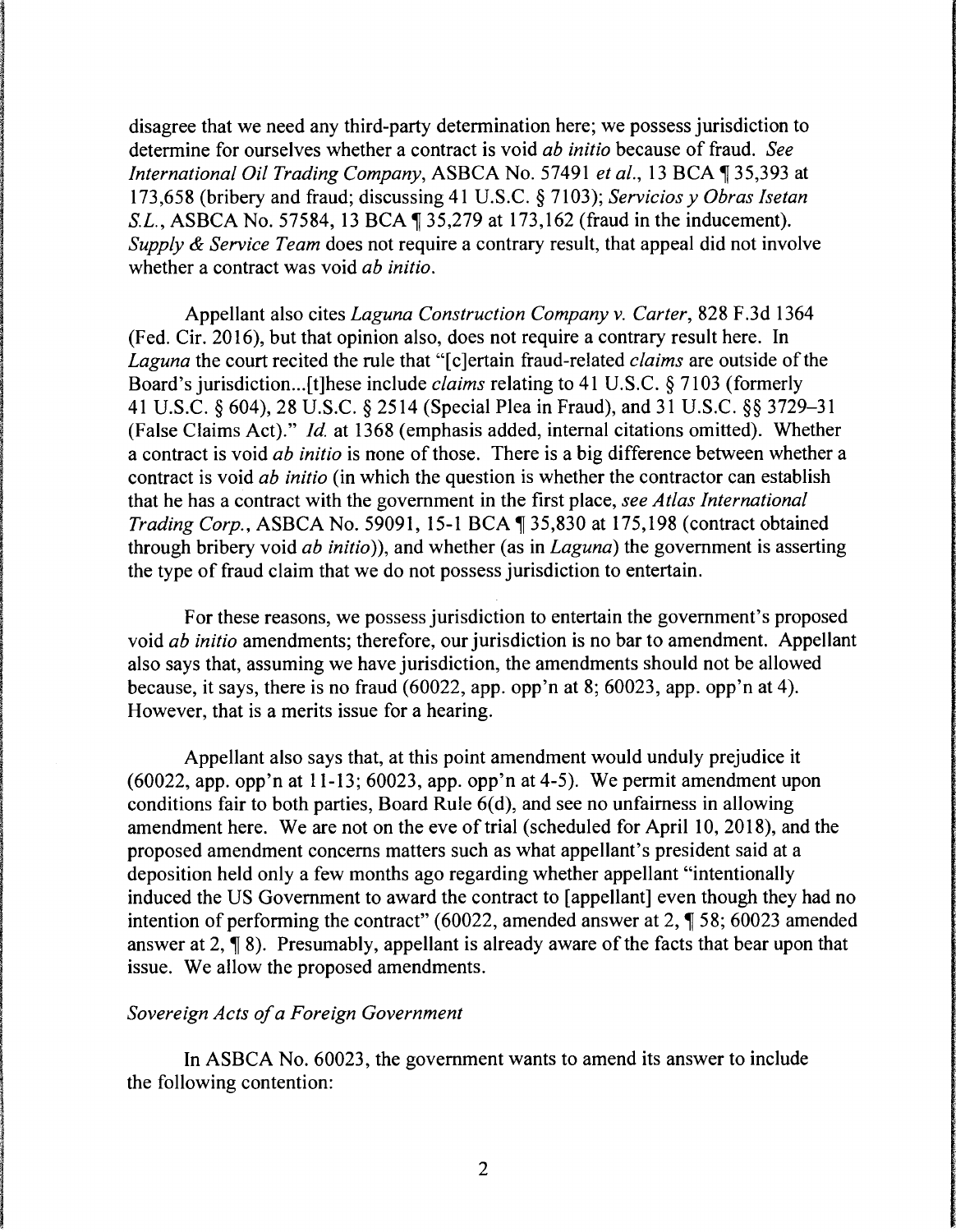disagree that we need any third-party determination here; we possess jurisdiction to determine for ourselves whether a contract is void *ab initio* because of fraud. *See International Oil Trading Company, ASBCA No. 57491 et al., 13 BCA* 135,393 at 173,658 (bribery and fraud; discussing 41 U.S.C. § 7103); *Servicios y Obras Isetan S.L.*, *ASBCA No.* 57584, 13 BCA  $\parallel$  35,279 at 173,162 (fraud in the inducement). *Supply* & *Service Team* does not require a contrary result, that appeal did not involve whether a contract was void *ab initio.* 

Appellant also cites *Laguna Construction Company v. Carter,* 828 F.3d 1364 (Fed. Cir. 2016), but that opinion also, does not require a contrary result here. In *Laguna* the court recited the rule that "[ c ]ertain fraud-related *claims* are outside of the Board's jurisdiction... [t]hese include *claims* relating to 41 U.S.C. § 7103 (formerly 41 U.S.C. § 604), 28 U.S.C. § 2514 (Special Plea in Fraud), and 31 U.S.C. §§ 3729-31 (False Claims Act)." *Id.* at 1368 (emphasis added, internal citations omitted). Whether a contract is void *ab initio* is none of those. There is a big difference between whether a contract is void *ab initio* (in which the question is whether the contractor can establish that he has a contract with the government in the first place, *see Atlas International Trading Corp., ASBCA No.* 59091, 15-1 BCA ¶ 35,830 at 175,198 (contract obtained through bribery void *ab initio)),* and whether (as in *Laguna)* the government is asserting the type of fraud claim that we do not possess jurisdiction to entertain.

For these reasons, we possess jurisdiction to entertain the government's proposed void *ab initio* amendments; therefore, our jurisdiction is no bar to amendment. Appellant also says that, assuming we have jurisdiction, the amendments should not be allowed because, it says, there is no fraud (60022, app. opp'n at 8; 60023, app. opp'n at 4). However, that is a merits issue for a hearing.

Appellant also says that, at this point amendment would unduly prejudice it (60022, app. opp'n at 11-13; 60023, app. opp'n at 4-5). We permit amendment upon conditions fair to both parties, Board Rule  $6(d)$ , and see no unfairness in allowing amendment here. We are not on the eve of trial (scheduled for April 10, 2018), and the proposed amendment concerns matters such as what appellant's president said at a deposition held only a few months ago regarding whether appellant "intentionally induced the US Government to award the contract to [appellant] even though they had no intention of performing the contract" (60022, amended answer at 2,  $\P$  58; 60023 amended answer at  $2, \P 8$ ). Presumably, appellant is already aware of the facts that bear upon that issue. We allow the proposed amendments.

### *Sovereign Acts of a Foreign Government*

In ASBCA No. 60023, the government wants to amend its answer to include the following contention: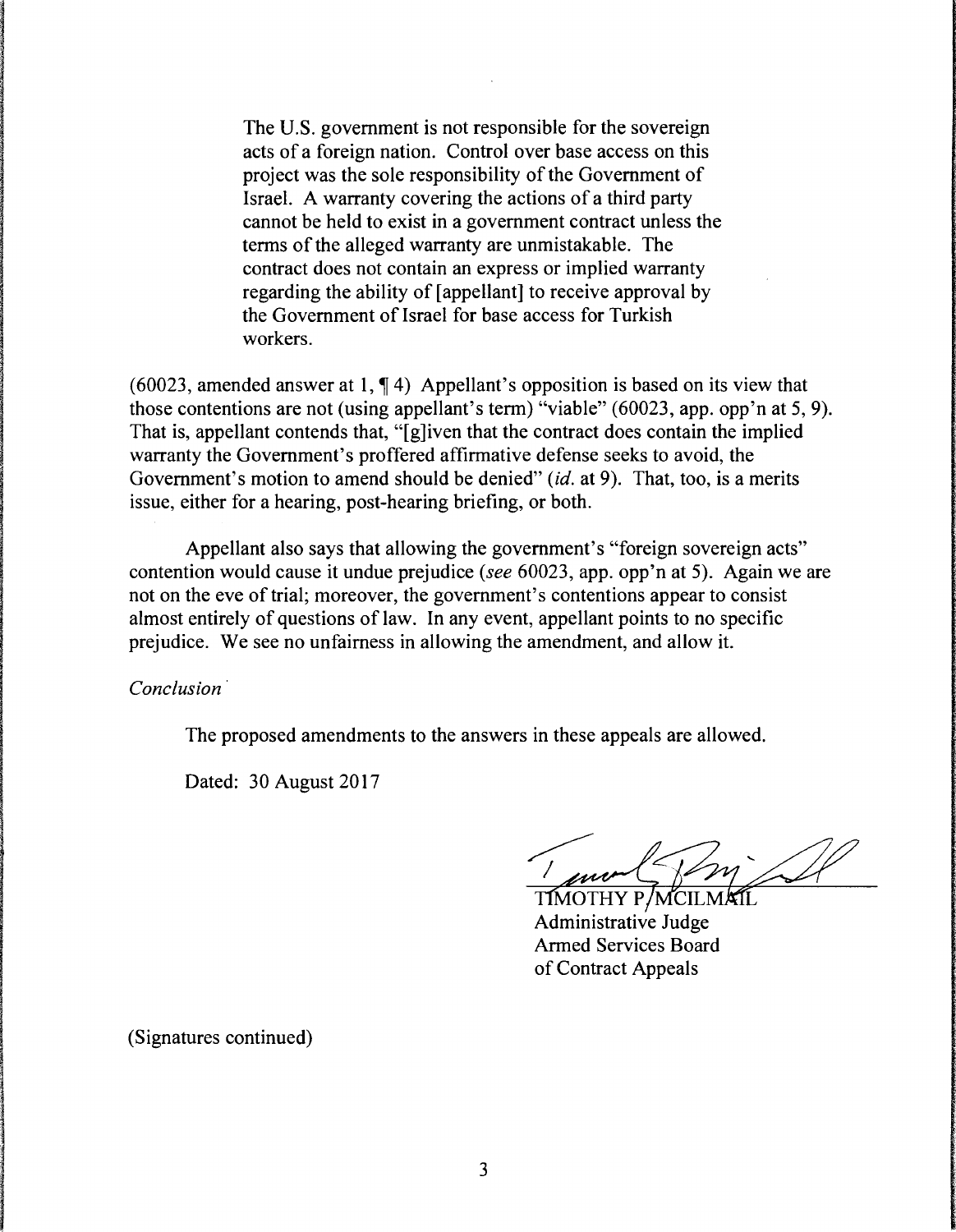The U.S. government is not responsible for the sovereign acts of a foreign nation. Control over base access on this project was the sole responsibility of the Government of Israel. A warranty covering the actions of a third party cannot be held to exist in a government contract unless the terms of the alleged warranty are unmistakable. The contract does not contain an express or implied warranty regarding the ability of [appellant] to receive approval by the Government of Israel for base access for Turkish workers.

(60023, amended answer at 1,  $\P$ 4) Appellant's opposition is based on its view that those contentions are not (using appellant's term) "viable" (60023, app. opp'n at 5, 9). That is, appellant contends that, "[g]iven that the contract does contain the implied warranty the Government's proffered affirmative defense seeks to avoid, the Government's motion to amend should be denied" (id. at 9). That, too, is a merits issue, either for a hearing, post-hearing briefing, or both.

Appellant also says that allowing the government's "foreign sovereign acts" contention would cause it undue prejudice (see 60023, app. opp'n at 5). Again we are not on the eve of trial; moreover, the government's contentions appear to consist almost entirely of questions of law. In any event, appellant points to no specific prejudice. We see no unfairness in allowing the amendment, and allow it.

*Conclusion* ·

The proposed amendments to the answers in these appeals are allowed.

Dated: 30 August 2017

1 mort 2007

Armed Services Board of Contract Appeals

(Signatures continued)